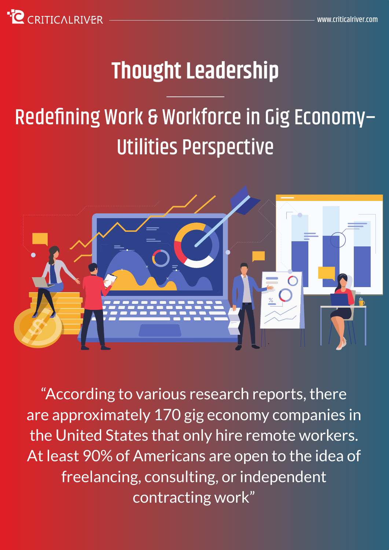

# **Thought Leadership**

# Redefining Work & Workforce in Gig Economy– Utilities Perspective



"According to various research reports, there are approximately 170 gig economy companies in the United States that only hire remote workers. At least 90% of Americans are open to the idea of freelancing, consulting, or independent contracting work"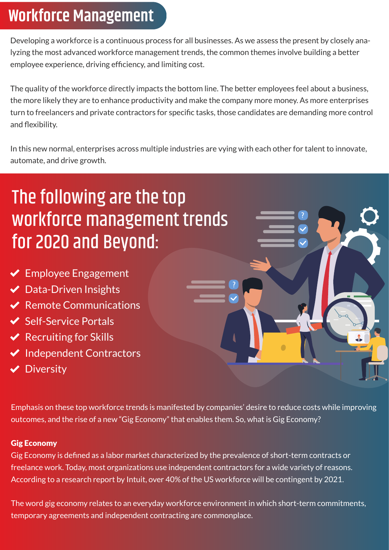#### **Workforce Management**

Developing a workforce is a continuous process for all businesses. As we assess the present by closely analyzing the most advanced workforce management trends, the common themes involve building a better employee experience, driving efficiency, and limiting cost.

The quality of the workforce directly impacts the bottom line. The better employees feel about a business, the more likely they are to enhance productivity and make the company more money. As more enterprises turn to freelancers and private contractors for specific tasks, those candidates are demanding more control and flexibility.

In this new normal, enterprises across multiple industries are vying with each other for talent to innovate, automate, and drive growth.

## The following are the top workforce management trends for 2020 and Beyond:

- $\blacktriangleright$  Employee Engagement
- ◆ Data-Driven Insights
- $\vee$  Remote Communications
- ◆ Self-Service Portals
- $\vee$  Recruiting for Skills
- $\blacktriangleright$  Independent Contractors
- **◆** Diversity



Emphasis on these top workforce trends is manifested by companies' desire to reduce costs while improving outcomes, and the rise of a new "Gig Economy" that enables them. So, what is Gig Economy?

#### Gig Economy

Gig Economy is defined as a labor market characterized by the prevalence of short-term contracts or freelance work. Today, most organizations use independent contractors for a wide variety of reasons. According to a research report by Intuit, over 40% of the US workforce will be contingent by 2021.

The word gig economy relates to an everyday workforce environment in which short-term commitments, temporary agreements and independent contracting are commonplace.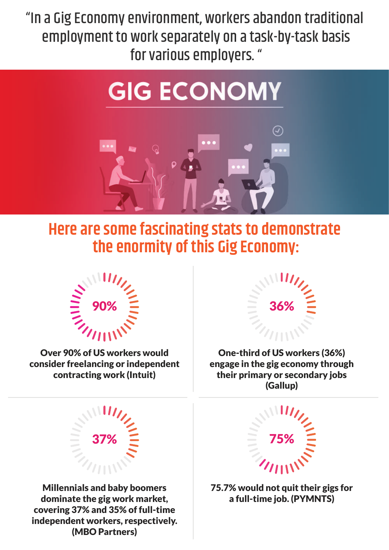"In a Gig Economy environment, workers abandon traditional employment to work separately on a task-by-task basis for various employers. "

# **GIG ECONOMY**



#### **Here are some fascinating stats to demonstrate the enormity of this Gig Economy:**



Over 90% of US workers would consider freelancing or independent contracting work (Intuit)



One-third of US workers (36%) engage in the gig economy through their primary or secondary jobs (Gallup)



Millennials and baby boomers dominate the gig work market, covering 37% and 35% of full-time independent workers, respectively. (MBO Partners)



75.7% would not quit their gigs for a full-time job. (PYMNTS)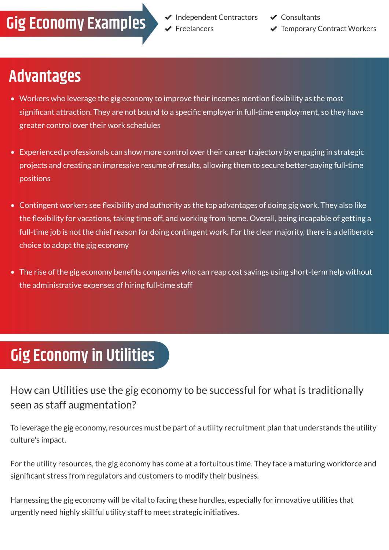#### **Gig Economy Examples** FIND The Examples

**✓** Consultants

**◆ Temporary Contract Workers** 

#### **Advantages**

- Workers who leverage the gig economy to improve their incomes mention flexibility as the most significant attraction. They are not bound to a specific employer in full-time employment, so they have greater control over their work schedules
- Experienced professionals can show more control over their career trajectory by engaging in strategic projects and creating an impressive resume of results, allowing them to secure better-paying full-time positions
- Contingent workers see flexibility and authority as the top advantages of doing gig work. They also like the flexibility for vacations, taking time off, and working from home. Overall, being incapable of getting a full-time job is not the chief reason for doing contingent work. For the clear majority, there is a deliberate choice to adopt the gig economy
- The rise of the gig economy benefits companies who can reap cost savings using short-term help without the administrative expenses of hiring full-time staff

## **Gig Economy in Utilities**

How can Utilities use the gig economy to be successful for what is traditionally seen as staff augmentation?

To leverage the gig economy, resources must be part of a utility recruitment plan that understands the utility culture's impact.

For the utility resources, the gig economy has come at a fortuitous time. They face a maturing workforce and significant stress from regulators and customers to modify their business.

Harnessing the gig economy will be vital to facing these hurdles, especially for innovative utilities that urgently need highly skillful utility staff to meet strategic initiatives.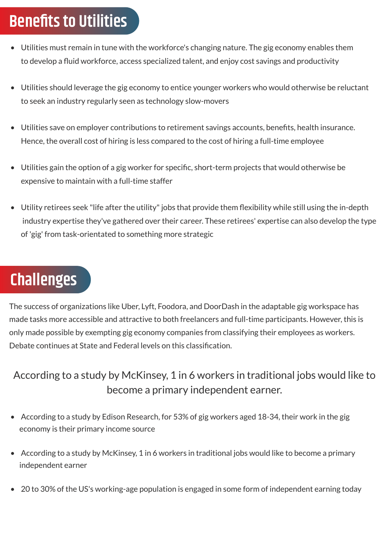#### **Benefits to Utilities**

- Utilities must remain in tune with the workforce's changing nature. The gig economy enables them to develop a fluid workforce, access specialized talent, and enjoy cost savings and productivity
- Utilities should leverage the gig economy to entice younger workers who would otherwise be reluctant to seek an industry regularly seen as technology slow-movers
- Utilities save on employer contributions to retirement savings accounts, benefits, health insurance. Hence, the overall cost of hiring is less compared to the cost of hiring a full-time employee
- Utilities gain the option of a gig worker for specific, short-term projects that would otherwise be expensive to maintain with a full-time staffer
- Utility retirees seek "life after the utility" jobs that provide them flexibility while still using the in-depth industry expertise they've gathered over their career. These retirees' expertise can also develop the type of 'gig' from task-orientated to something more strategic

## **Challenges**

The success of organizations like Uber, Lyft, Foodora, and DoorDash in the adaptable gig workspace has made tasks more accessible and attractive to both freelancers and full-time participants. However, this is only made possible by exempting gig economy companies from classifying their employees as workers. Debate continues at State and Federal levels on this classification.

#### According to a study by McKinsey, 1 in 6 workers in traditional jobs would like to become a primary independent earner.

- According to a study by Edison Research, for 53% of gig workers aged 18-34, their work in the gig economy is their primary income source
- According to a study by McKinsey, 1 in 6 workers in traditional jobs would like to become a primary independent earner
- 20 to 30% of the US's working-age population is engaged in some form of independent earning today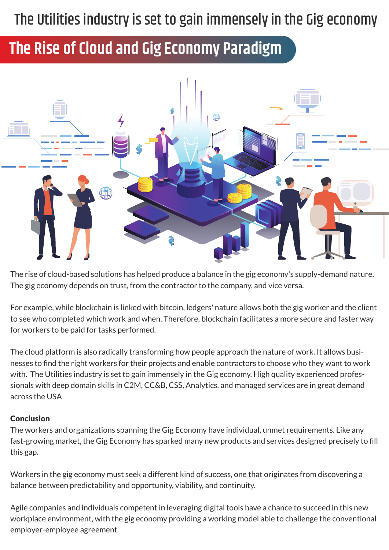#### The Utilities industry is set to gain immensely in the Gig economy

#### **The Rise of Cloud and Gig Economy Paradigm**



The rise of cloud-based solutions has helped produce a balance in the gig economy's supply-demand nature. The gig economy depends on trust, from the contractor to the company, and vice versa.

For example, while blockchain is linked with bitcoin, ledgers' nature allows both the gig worker and the client to see who completed which work and when. Therefore, blockchain facilitates a more secure and faster way for workers to be paid for tasks performed.

The cloud platform is also radically transforming how people approach the nature of work. It allows businesses to find the right workers for their projects and enable contractors to choose who they want to work with. The Utilities industry is set to gain immensely in the Gig economy. High quality experienced professionals with deep domain skills in C2M, CC&B, CSS, Analytics, and managed services are in great demand across the USA

#### Conclusion

The workers and organizations spanning the Gig Economy have individual, unmet requirements. Like any fast-growing market, the Gig Economy has sparked many new products and services designed precisely to fill this gap.

Workers in the gig economy must seek a different kind of success, one that originates from discovering a balance between predictability and opportunity, viability, and continuity.

Agile companies and individuals competent in leveraging digital tools have a chance to succeed in this new workplace environment, with the gig economy providing a working model able to challenge the conventional employer-employee agreement.